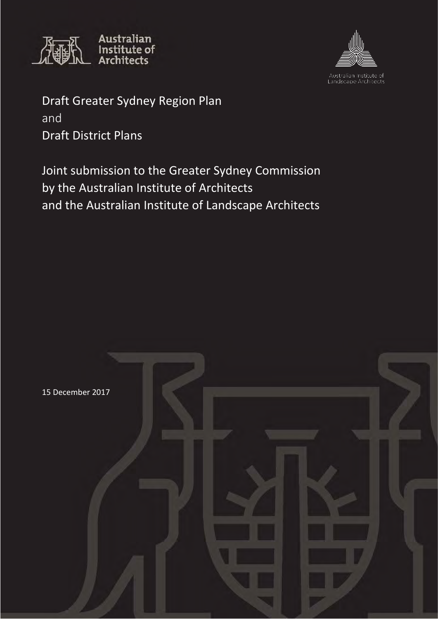



Draft Greater Sydney Region Plan and Draft District Plans

Joint submission to the Greater Sydney Commission by the Australian Institute of Architects and the Australian Institute of Landscape Architects

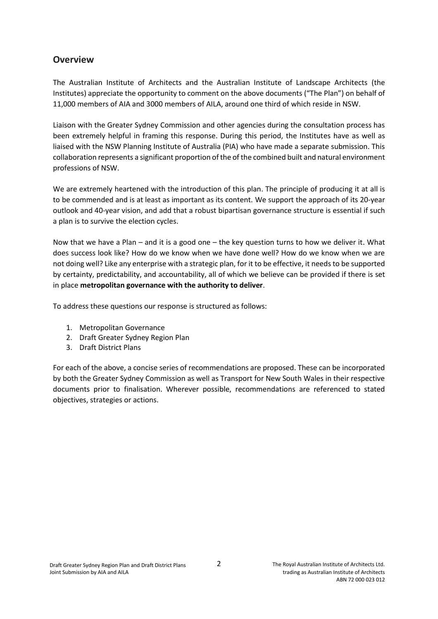# **Overview**

The Australian Institute of Architects and the Australian Institute of Landscape Architects (the Institutes) appreciate the opportunity to comment on the above documents ("The Plan") on behalf of 11,000 members of AIA and 3000 members of AILA, around one third of which reside in NSW.

Liaison with the Greater Sydney Commission and other agencies during the consultation process has been extremely helpful in framing this response. During this period, the Institutes have as well as liaised with the NSW Planning Institute of Australia (PIA) who have made a separate submission. This collaboration represents a significant proportion of the of the combined built and natural environment professions of NSW.

We are extremely heartened with the introduction of this plan. The principle of producing it at all is to be commended and is at least as important as its content. We support the approach of its 20-year outlook and 40-year vision, and add that a robust bipartisan governance structure is essential if such a plan is to survive the election cycles.

Now that we have a Plan – and it is a good one – the key question turns to how we deliver it. What does success look like? How do we know when we have done well? How do we know when we are not doing well? Like any enterprise with a strategic plan, for it to be effective, it needs to be supported by certainty, predictability, and accountability, all of which we believe can be provided if there is set in place **metropolitan governance with the authority to deliver**.

To address these questions our response is structured as follows:

- 1. Metropolitan Governance
- 2. Draft Greater Sydney Region Plan
- 3. Draft District Plans

For each of the above, a concise series of recommendations are proposed. These can be incorporated by both the Greater Sydney Commission as well as Transport for New South Wales in their respective documents prior to finalisation. Wherever possible, recommendations are referenced to stated objectives, strategies or actions.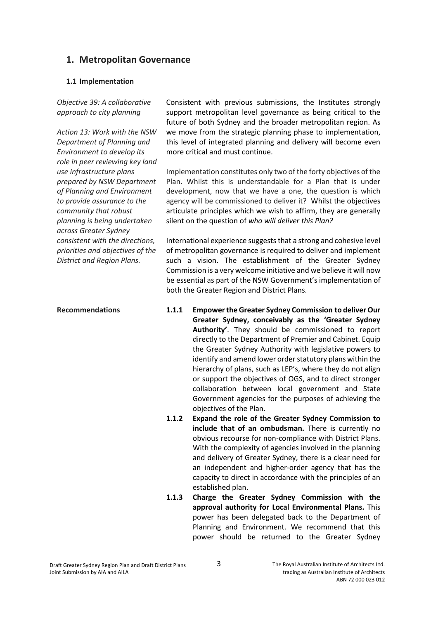# **1. Metropolitan Governance**

### **1.1 Implementation**

*Objective 39: A collaborative approach to city planning*

*Action 13: Work with the NSW Department of Planning and Environment to develop its role in peer reviewing key land use infrastructure plans prepared by NSW Department of Planning and Environment to provide assurance to the community that robust planning is being undertaken across Greater Sydney consistent with the directions, priorities and objectives of the District and Region Plans.*

Consistent with previous submissions, the Institutes strongly support metropolitan level governance as being critical to the future of both Sydney and the broader metropolitan region. As we move from the strategic planning phase to implementation, this level of integrated planning and delivery will become even more critical and must continue.

Implementation constitutes only two of the forty objectives of the Plan. Whilst this is understandable for a Plan that is under development, now that we have a one, the question is which agency will be commissioned to deliver it? Whilst the objectives articulate principles which we wish to affirm, they are generally silent on the question of *who will deliver this Plan?*

International experience suggests that a strong and cohesive level of metropolitan governance is required to deliver and implement such a vision. The establishment of the Greater Sydney Commission is a very welcome initiative and we believe it will now be essential as part of the NSW Government's implementation of both the Greater Region and District Plans.

- **Recommendations 1.1.1 Empower the Greater Sydney Commission to deliver Our Greater Sydney, conceivably as the 'Greater Sydney Authority'**. They should be commissioned to report directly to the Department of Premier and Cabinet. Equip the Greater Sydney Authority with legislative powers to identify and amend lower order statutory plans within the hierarchy of plans, such as LEP's, where they do not align or support the objectives of OGS, and to direct stronger collaboration between local government and State Government agencies for the purposes of achieving the objectives of the Plan.
	- **1.1.2 Expand the role of the Greater Sydney Commission to include that of an ombudsman.** There is currently no obvious recourse for non-compliance with District Plans. With the complexity of agencies involved in the planning and delivery of Greater Sydney, there is a clear need for an independent and higher-order agency that has the capacity to direct in accordance with the principles of an established plan.
	- **1.1.3 Charge the Greater Sydney Commission with the approval authority for Local Environmental Plans.** This power has been delegated back to the Department of Planning and Environment. We recommend that this power should be returned to the Greater Sydney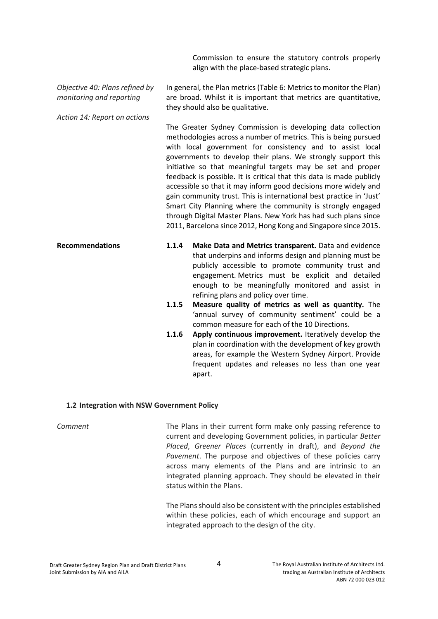Commission to ensure the statutory controls properly align with the place-based strategic plans.

| Objective 40: Plans refined by<br>monitoring and reporting<br>Action 14: Report on actions |                                                                                                                                                                                                                                                                                                                                                                                                                                                                                                                                                                                                                                                                                                                                                   | In general, the Plan metrics (Table 6: Metrics to monitor the Plan)<br>are broad. Whilst it is important that metrics are quantitative,<br>they should also be qualitative.                                                                                                                                                                                                   |
|--------------------------------------------------------------------------------------------|---------------------------------------------------------------------------------------------------------------------------------------------------------------------------------------------------------------------------------------------------------------------------------------------------------------------------------------------------------------------------------------------------------------------------------------------------------------------------------------------------------------------------------------------------------------------------------------------------------------------------------------------------------------------------------------------------------------------------------------------------|-------------------------------------------------------------------------------------------------------------------------------------------------------------------------------------------------------------------------------------------------------------------------------------------------------------------------------------------------------------------------------|
|                                                                                            | The Greater Sydney Commission is developing data collection<br>methodologies across a number of metrics. This is being pursued<br>with local government for consistency and to assist local<br>governments to develop their plans. We strongly support this<br>initiative so that meaningful targets may be set and proper<br>feedback is possible. It is critical that this data is made publicly<br>accessible so that it may inform good decisions more widely and<br>gain community trust. This is international best practice in 'Just'<br>Smart City Planning where the community is strongly engaged<br>through Digital Master Plans. New York has had such plans since<br>2011, Barcelona since 2012, Hong Kong and Singapore since 2015. |                                                                                                                                                                                                                                                                                                                                                                               |
| <b>Recommendations</b>                                                                     | 1.1.4<br>1.1.5                                                                                                                                                                                                                                                                                                                                                                                                                                                                                                                                                                                                                                                                                                                                    | Make Data and Metrics transparent. Data and evidence<br>that underpins and informs design and planning must be<br>publicly accessible to promote community trust and<br>engagement. Metrics must be explicit and detailed<br>enough to be meaningfully monitored and assist in<br>refining plans and policy over time.<br>Measure quality of metrics as well as quantity. The |

- 'annual survey of community sentiment' could be a common measure for each of the 10 Directions.
- **1.1.6 Apply continuous improvement.** Iteratively develop the plan in coordination with the development of key growth areas, for example the Western Sydney Airport. Provide frequent updates and releases no less than one year apart.

### **1.2 Integration with NSW Government Policy**

**Comment** The Plans in their current form make only passing reference to current and developing Government policies, in particular *Better Placed*, *Greener Places* (currently in draft), and *Beyond the Pavement*. The purpose and objectives of these policies carry across many elements of the Plans and are intrinsic to an integrated planning approach. They should be elevated in their status within the Plans.

> The Plans should also be consistent with the principles established within these policies, each of which encourage and support an integrated approach to the design of the city.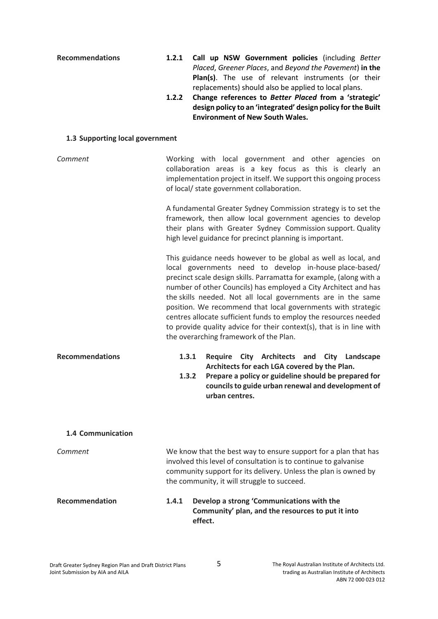- **Recommendations 1.2.1 Call up NSW Government policies** (including *Better Placed*, *Greener Places*, and *Beyond the Pavement*) **in the Plan(s)**. The use of relevant instruments (or their replacements) should also be applied to local plans.
	- **1.2.2 Change references to** *Better Placed* **from a 'strategic' design policy to an 'integrated' design policy for the Built Environment of New South Wales.**

### **1.3 Supporting local government**

*Comment* Working with local government and other agencies on collaboration areas is a key focus as this is clearly an implementation project in itself. We support this ongoing process of local/ state government collaboration. A fundamental Greater Sydney Commission strategy is to set the framework, then allow local government agencies to develop their plans with Greater Sydney Commission support. Quality high level guidance for precinct planning is important.

> This guidance needs however to be global as well as local, and local governments need to develop in-house place-based/ precinct scale design skills. Parramatta for example, (along with a number of other Councils) has employed a City Architect and has the skills needed. Not all local governments are in the same position. We recommend that local governments with strategic centres allocate sufficient funds to employ the resources needed to provide quality advice for their context(s), that is in line with the overarching framework of the Plan.

**Recommendations 1.3.1 Require City Architects and City Landscape Architects for each LGA covered by the Plan.**

> **1.3.2 Prepare a policy or guideline should be prepared for councils to guide urban renewal and development of urban centres.**

### **1.4 Communication**

**Comment** Comment We know that the best way to ensure support for a plan that has involved this level of consultation is to continue to galvanise community support for its delivery. Unless the plan is owned by the community, it will struggle to succeed.

**Recommendation 1.4.1 Develop a strong 'Communications with the Community' plan, and the resources to put it into effect.**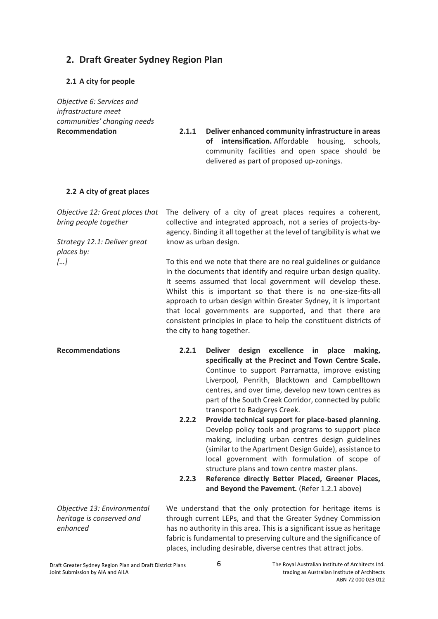# **2. Draft Greater Sydney Region Plan**

## **2.1 A city for people**

*Objective 6: Services and infrastructure meet communities' changing needs*

**Recommendation 2.1.1 Deliver enhanced community infrastructure in areas of intensification.** Affordable housing, schools, community facilities and open space should be delivered as part of proposed up-zonings.

## **2.2 A city of great places**

| Objective 12: Great places that<br>bring people together | The delivery of a city of great places requires a coherent,<br>collective and integrated approach, not a series of projects-by-<br>agency. Binding it all together at the level of tangibility is what we                                                                                                                                                                                                                                                                                                 |                                                                                                                                                                                                                                                                                                                                                                  |  |
|----------------------------------------------------------|-----------------------------------------------------------------------------------------------------------------------------------------------------------------------------------------------------------------------------------------------------------------------------------------------------------------------------------------------------------------------------------------------------------------------------------------------------------------------------------------------------------|------------------------------------------------------------------------------------------------------------------------------------------------------------------------------------------------------------------------------------------------------------------------------------------------------------------------------------------------------------------|--|
| Strategy 12.1: Deliver great<br>places by:               | know as urban design.                                                                                                                                                                                                                                                                                                                                                                                                                                                                                     |                                                                                                                                                                                                                                                                                                                                                                  |  |
| []                                                       | To this end we note that there are no real guidelines or guidance<br>in the documents that identify and require urban design quality.<br>It seems assumed that local government will develop these.<br>Whilst this is important so that there is no one-size-fits-all<br>approach to urban design within Greater Sydney, it is important<br>that local governments are supported, and that there are<br>consistent principles in place to help the constituent districts of<br>the city to hang together. |                                                                                                                                                                                                                                                                                                                                                                  |  |
| <b>Recommendations</b>                                   | 2.2.1                                                                                                                                                                                                                                                                                                                                                                                                                                                                                                     | excellence in place<br>Deliver<br>design<br>making,<br>specifically at the Precinct and Town Centre Scale.<br>Continue to support Parramatta, improve existing<br>Liverpool, Penrith, Blacktown and Campbelltown<br>centres, and over time, develop new town centres as<br>part of the South Creek Corridor, connected by public<br>transport to Badgerys Creek. |  |
|                                                          | 2.2.2                                                                                                                                                                                                                                                                                                                                                                                                                                                                                                     | Provide technical support for place-based planning.<br>Develop policy tools and programs to support place<br>making, including urban centres design guidelines<br>(similar to the Apartment Design Guide), assistance to<br>local government with formulation of scope of<br>structure plans and town centre master plans.                                       |  |
|                                                          | 2.2.3                                                                                                                                                                                                                                                                                                                                                                                                                                                                                                     | Reference directly Better Placed, Greener Places,<br>and Beyond the Pavement. (Refer 1.2.1 above)                                                                                                                                                                                                                                                                |  |

*Objective 13: Environmental heritage is conserved and enhanced*

We understand that the only protection for heritage items is through current LEPs, and that the Greater Sydney Commission has no authority in this area. This is a significant issue as heritage fabric is fundamental to preserving culture and the significance of places, including desirable, diverse centres that attract jobs.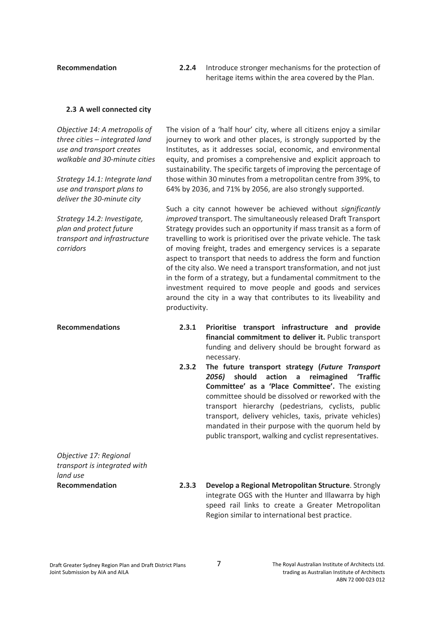**Recommendation 2.2.4** Introduce stronger mechanisms for the protection of heritage items within the area covered by the Plan.

### **2.3 A well connected city**

*Objective 14: A metropolis of three cities – integrated land use and transport creates walkable and 30-minute cities*

*Strategy 14.1: Integrate land use and transport plans to deliver the 30-minute city*

*Strategy 14.2: Investigate, plan and protect future transport and infrastructure corridors*

The vision of a 'half hour' city, where all citizens enjoy a similar journey to work and other places, is strongly supported by the Institutes, as it addresses social, economic, and environmental equity, and promises a comprehensive and explicit approach to sustainability. The specific targets of improving the percentage of those within 30 minutes from a metropolitan centre from 39%, to 64% by 2036, and 71% by 2056, are also strongly supported.

Such a city cannot however be achieved without *significantly improved* transport. The simultaneously released Draft Transport Strategy provides such an opportunity if mass transit as a form of travelling to work is prioritised over the private vehicle. The task of moving freight, trades and emergency services is a separate aspect to transport that needs to address the form and function of the city also. We need a transport transformation, and not just in the form of a strategy, but a fundamental commitment to the investment required to move people and goods and services around the city in a way that contributes to its liveability and productivity.

- **Recommendations 2.3.1 Prioritise transport infrastructure and provide financial commitment to deliver it.** Public transport funding and delivery should be brought forward as necessary.
	- **2.3.2 The future transport strategy (***Future Transport 2056)* **should action a reimagined 'Traffic Committee' as a 'Place Committee'.** The existing committee should be dissolved or reworked with the transport hierarchy (pedestrians, cyclists, public transport, delivery vehicles, taxis, private vehicles) mandated in their purpose with the quorum held by public transport, walking and cyclist representatives.

*Objective 17: Regional transport is integrated with land use*

**Recommendation 2.3.3 Develop a Regional Metropolitan Structure**. Strongly integrate OGS with the Hunter and Illawarra by high speed rail links to create a Greater Metropolitan Region similar to international best practice.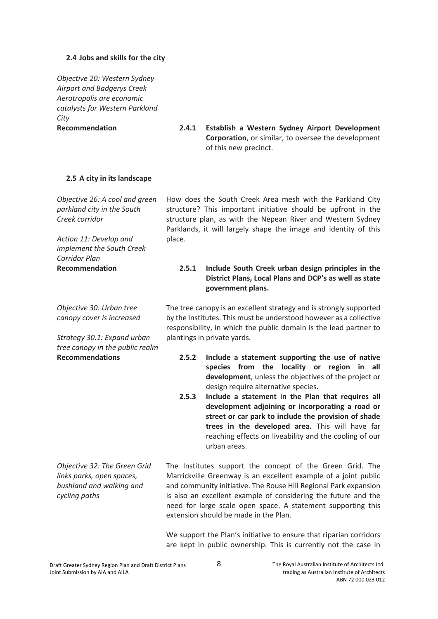### **2.4 Jobs and skills for the city**

*Objective 20: Western Sydney Airport and Badgerys Creek Aerotropolis are economic catalysts for Western Parkland City*

**Recommendation 2.4.1 Establish a Western Sydney Airport Development Corporation**, or similar, to oversee the development of this new precinct.

### **2.5 A city in its landscape**

*Objective 26: A cool and green parkland city in the South Creek corridor Action 11: Develop and implement the South Creek Corridor Plan* How does the South Creek Area mesh with the Parkland City structure? This important initiative should be upfront in the structure plan, as with the Nepean River and Western Sydney Parklands, it will largely shape the image and identity of this place. **Recommendation 2.5.1 Include South Creek urban design principles in the District Plans, Local Plans and DCP's as well as state government plans.**

*Objective 30: Urban tree canopy cover is increased*

*Strategy 30.1: Expand urban tree canopy in the public realm*

The tree canopy is an excellent strategy and is strongly supported by the Institutes. This must be understood however as a collective responsibility, in which the public domain is the lead partner to plantings in private yards.

- **Recommendations 2.5.2 Include a statement supporting the use of native species from the locality or region in all development**, unless the objectives of the project or design require alternative species.
	- **2.5.3 Include a statement in the Plan that requires all development adjoining or incorporating a road or street or car park to include the provision of shade trees in the developed area.** This will have far reaching effects on liveability and the cooling of our urban areas.

*Objective 32: The Green Grid links parks, open spaces, bushland and walking and cycling paths* The Institutes support the concept of the Green Grid. The Marrickville Greenway is an excellent example of a joint public and community initiative. The Rouse Hill Regional Park expansion is also an excellent example of considering the future and the need for large scale open space. A statement supporting this extension should be made in the Plan.

> We support the Plan's initiative to ensure that riparian corridors are kept in public ownership. This is currently not the case in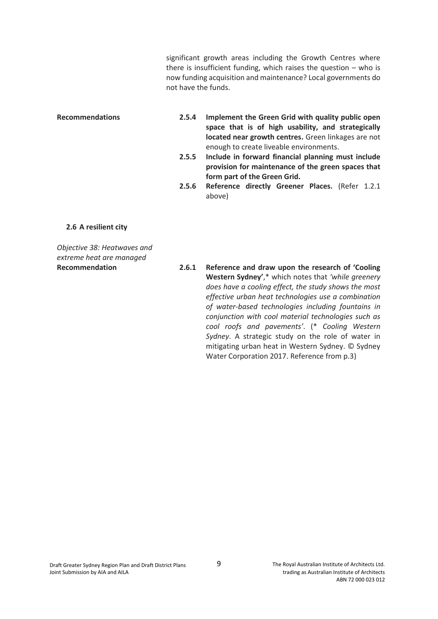significant growth areas including the Growth Centres where there is insufficient funding, which raises the question  $-$  who is now funding acquisition and maintenance? Local governments do not have the funds.

- **Recommendations 2.5.4 Implement the Green Grid with quality public open space that is of high usability, and strategically located near growth centres.** Green linkages are not enough to create liveable environments.
	- **2.5.5 Include in forward financial planning must include provision for maintenance of the green spaces that form part of the Green Grid.**
	- **2.5.6 Reference directly Greener Places.** (Refer 1.2.1 above)

### **2.6 A resilient city**

*Objective 38: Heatwaves and extreme heat are managed*

**Recommendation 2.6.1 Reference and draw upon the research of 'Cooling Western Sydney'**,\* which notes that *'while greenery does have a cooling effect, the study shows the most effective urban heat technologies use a combination of water-based technologies including fountains in conjunction with cool material technologies such as cool roofs and pavements'*. (\* *Cooling Western Sydney*. A strategic study on the role of water in mitigating urban heat in Western Sydney. © Sydney Water Corporation 2017. Reference from p.3)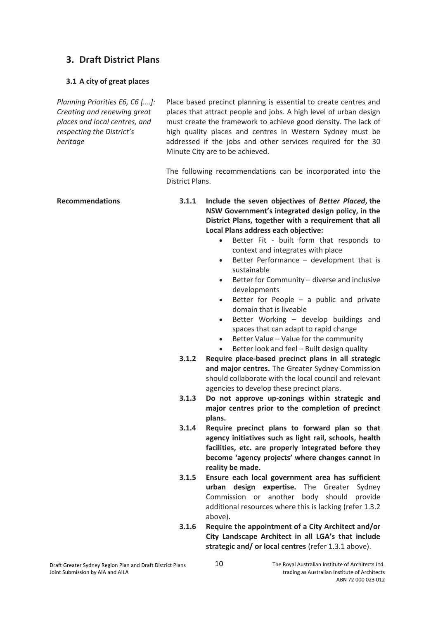# **3. Draft District Plans**

## **3.1 A city of great places**

*Planning Priorities E6, C6 [….]: Creating and renewing great places and local centres, and respecting the District's heritage*

Place based precinct planning is essential to create centres and places that attract people and jobs. A high level of urban design must create the framework to achieve good density. The lack of high quality places and centres in Western Sydney must be addressed if the jobs and other services required for the 30 Minute City are to be achieved.

The following recommendations can be incorporated into the District Plans.

**Recommendations 3.1.1 Include the seven objectives of** *Better Placed***, the NSW Government's integrated design policy, in the District Plans, together with a requirement that all Local Plans address each objective:**

- Better Fit built form that responds to context and integrates with place
- Better Performance development that is sustainable
- Better for Community diverse and inclusive developments
- Better for People a public and private domain that is liveable
- Better Working develop buildings and spaces that can adapt to rapid change
- Better Value Value for the community
- Better look and feel Built design quality
- **3.1.2 Require place-based precinct plans in all strategic and major centres.** The Greater Sydney Commission should collaborate with the local council and relevant agencies to develop these precinct plans.
- **3.1.3 Do not approve up-zonings within strategic and major centres prior to the completion of precinct plans.**
- **3.1.4 Require precinct plans to forward plan so that agency initiatives such as light rail, schools, health facilities, etc. are properly integrated before they become 'agency projects' where changes cannot in reality be made.**
- **3.1.5 Ensure each local government area has sufficient urban design expertise.** The Greater Sydney Commission or another body should provide additional resources where this is lacking (refer 1.3.2 above).
- **3.1.6 Require the appointment of a City Architect and/or City Landscape Architect in all LGA's that include strategic and/ or local centres** (refer 1.3.1 above).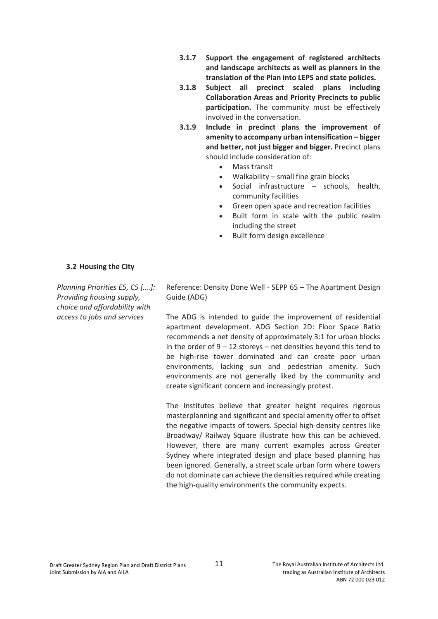- **3.1.7 Support the engagement of registered architects and landscape architects as well as planners in the translation of the Plan into LEPS and state policies.**
- **3.1.8 Subject all precinct scaled plans including Collaboration Areas and Priority Precincts to public participation.** The community must be effectively involved in the conversation.
- **3.1.9 Include in precinct plans the improvement of amenity to accompany urban intensification – bigger and better, not just bigger and bigger.** Precinct plans should include consideration of:
	- Mass transit
	- Walkability small fine grain blocks
	- Social infrastructure schools, health, community facilities
	- Green open space and recreation facilities
	- Built form in scale with the public realm including the street
	- Built form design excellence

### **3.2 Housing the City**

*Planning Priorities E5, C5 [….]: Providing housing supply, choice and affordability with access to jobs and services*

Reference: Density Done Well - SEPP 65 – The Apartment Design Guide (ADG)

The ADG is intended to guide the improvement of residential apartment development. ADG Section 2D: Floor Space Ratio recommends a net density of approximately 3:1 for urban blocks in the order of  $9 - 12$  storeys – net densities beyond this tend to be high-rise tower dominated and can create poor urban environments, lacking sun and pedestrian amenity. Such environments are not generally liked by the community and create significant concern and increasingly protest.

The Institutes believe that greater height requires rigorous masterplanning and significant and special amenity offer to offset the negative impacts of towers. Special high-density centres like Broadway/ Railway Square illustrate how this can be achieved. However, there are many current examples across Greater Sydney where integrated design and place based planning has been ignored. Generally, a street scale urban form where towers do not dominate can achieve the densities required while creating the high-quality environments the community expects.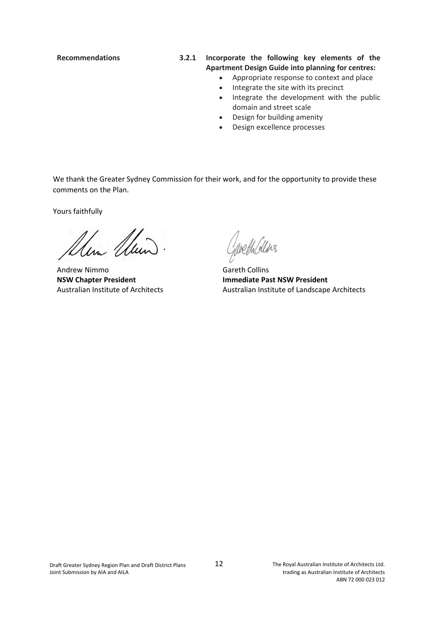- **Recommendations 3.2.1 Incorporate the following key elements of the Apartment Design Guide into planning for centres:**
	- Appropriate response to context and place
	- Integrate the site with its precinct
	- Integrate the development with the public domain and street scale
	- Design for building amenity
	- Design excellence processes

We thank the Greater Sydney Commission for their work, and for the opportunity to provide these comments on the Plan.

Yours faithfully

Alen Clean

Andrew Nimmo **NSW Chapter President** Australian Institute of Architects

Javeth Glas

Gareth Collins **Immediate Past NSW President** Australian Institute of Landscape Architects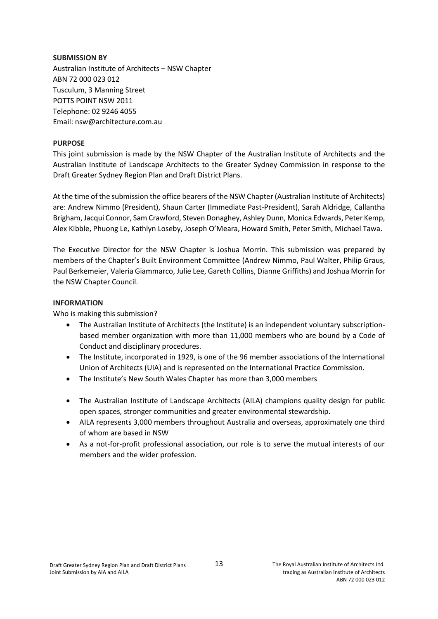### **SUBMISSION BY**

Australian Institute of Architects – NSW Chapter ABN 72 000 023 012 Tusculum, 3 Manning Street POTTS POINT NSW 2011 Telephone: 02 9246 4055 Email: nsw@architecture.com.au

### **PURPOSE**

This joint submission is made by the NSW Chapter of the Australian Institute of Architects and the Australian Institute of Landscape Architects to the Greater Sydney Commission in response to the Draft Greater Sydney Region Plan and Draft District Plans.

At the time of the submission the office bearers of the NSW Chapter (Australian Institute of Architects) are: Andrew Nimmo (President), Shaun Carter (Immediate Past-President), Sarah Aldridge, Callantha Brigham, Jacqui Connor, Sam Crawford, Steven Donaghey, Ashley Dunn, Monica Edwards, Peter Kemp, Alex Kibble, Phuong Le, Kathlyn Loseby, Joseph O'Meara, Howard Smith, Peter Smith, Michael Tawa.

The Executive Director for the NSW Chapter is Joshua Morrin. This submission was prepared by members of the Chapter's Built Environment Committee (Andrew Nimmo, Paul Walter, Philip Graus, Paul Berkemeier, Valeria Giammarco, Julie Lee, Gareth Collins, Dianne Griffiths) and Joshua Morrin for the NSW Chapter Council.

### **INFORMATION**

Who is making this submission?

- The Australian Institute of Architects (the Institute) is an independent voluntary subscriptionbased member organization with more than 11,000 members who are bound by a Code of Conduct and disciplinary procedures.
- The Institute, incorporated in 1929, is one of the 96 member associations of the International Union of Architects (UIA) and is represented on the International Practice Commission.
- The Institute's New South Wales Chapter has more than 3,000 members
- The Australian Institute of Landscape Architects (AILA) champions quality design for public open spaces, stronger communities and greater environmental stewardship.
- AILA represents 3,000 members throughout Australia and overseas, approximately one third of whom are based in NSW
- As a not-for-profit professional association, our role is to serve the mutual interests of our members and the wider profession.